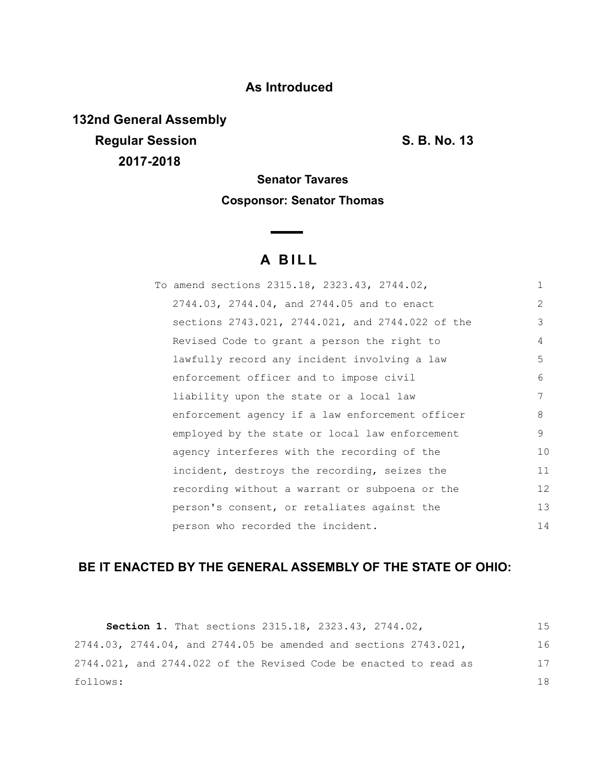### **As Introduced**

**132nd General Assembly Regular Session S. B. No. 13 2017-2018**

# **Senator Tavares Cosponsor: Senator Thomas**

## **A B I L L**

<u> The Common State State State State State State State State State State State State State State State State State State State State State State State State State State State State State State State State State State State</u>

| To amend sections 2315.18, 2323.43, 2744.02,     | $\mathbf{1}$ |
|--------------------------------------------------|--------------|
| 2744.03, 2744.04, and 2744.05 and to enact       | 2            |
| sections 2743.021, 2744.021, and 2744.022 of the | 3            |
| Revised Code to grant a person the right to      | 4            |
| lawfully record any incident involving a law     | 5            |
| enforcement officer and to impose civil          | 6            |
| liability upon the state or a local law          | 7            |
| enforcement agency if a law enforcement officer  | 8            |
| employed by the state or local law enforcement   | 9            |
| agency interferes with the recording of the      | 10           |
| incident, destroys the recording, seizes the     | 11           |
| recording without a warrant or subpoena or the   | 12           |
| person's consent, or retaliates against the      | 13           |
| person who recorded the incident.                | 14           |

## **BE IT ENACTED BY THE GENERAL ASSEMBLY OF THE STATE OF OHIO:**

| <b>Section 1.</b> That sections 2315.18, 2323.43, 2744.02,         | 1.5 |
|--------------------------------------------------------------------|-----|
| 2744.03, 2744.04, and 2744.05 be amended and sections $2743.021$ , | 16  |
| 2744.021, and 2744.022 of the Revised Code be enacted to read as   | 17  |
| follows:                                                           | 18  |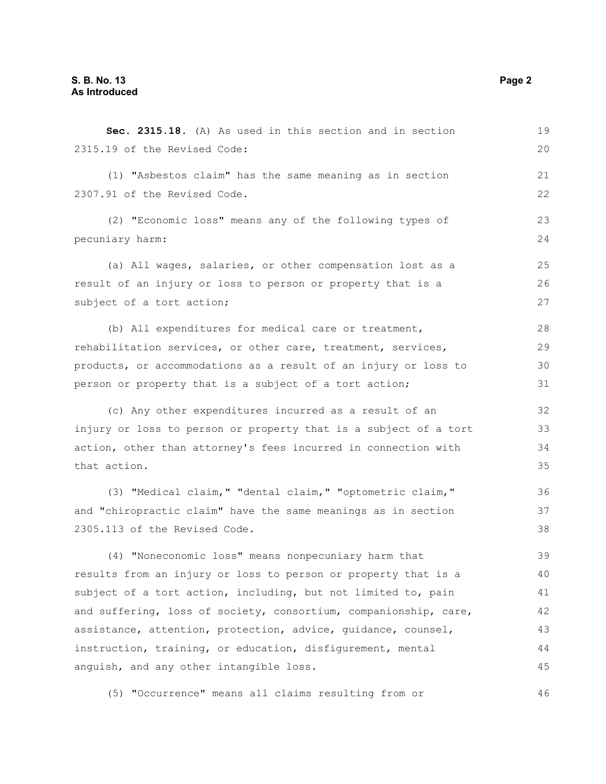| Sec. 2315.18. (A) As used in this section and in section         | 19 |
|------------------------------------------------------------------|----|
| 2315.19 of the Revised Code:                                     | 20 |
| (1) "Asbestos claim" has the same meaning as in section          | 21 |
| 2307.91 of the Revised Code.                                     | 22 |
| (2) "Economic loss" means any of the following types of          | 23 |
| pecuniary harm:                                                  | 24 |
| (a) All wages, salaries, or other compensation lost as a         | 25 |
| result of an injury or loss to person or property that is a      | 26 |
| subject of a tort action;                                        | 27 |
| (b) All expenditures for medical care or treatment,              | 28 |
| rehabilitation services, or other care, treatment, services,     | 29 |
| products, or accommodations as a result of an injury or loss to  | 30 |
| person or property that is a subject of a tort action;           | 31 |
| (c) Any other expenditures incurred as a result of an            | 32 |
| injury or loss to person or property that is a subject of a tort | 33 |
| action, other than attorney's fees incurred in connection with   | 34 |
| that action.                                                     | 35 |
| (3) "Medical claim," "dental claim," "optometric claim,"         | 36 |
| and "chiropractic claim" have the same meanings as in section    | 37 |
| 2305.113 of the Revised Code.                                    | 38 |
| (4) "Noneconomic loss" means nonpecuniary harm that              | 39 |
| results from an injury or loss to person or property that is a   | 40 |
| subject of a tort action, including, but not limited to, pain    | 41 |
| and suffering, loss of society, consortium, companionship, care, | 42 |
| assistance, attention, protection, advice, quidance, counsel,    | 43 |
| instruction, training, or education, disfigurement, mental       | 44 |
| anguish, and any other intangible loss.                          | 45 |
| (5) "Occurrence" means all claims resulting from or              | 46 |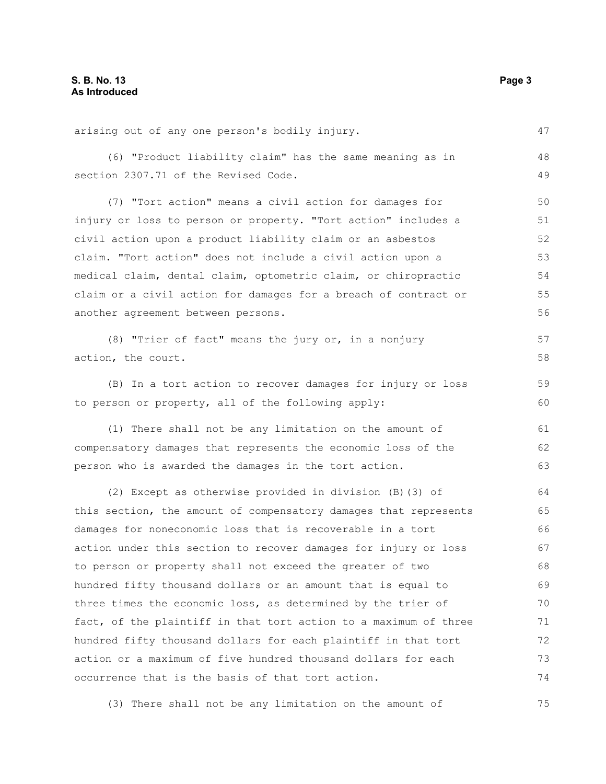| arising out of any one person's bodily injury.                   | 47 |
|------------------------------------------------------------------|----|
| (6) "Product liability claim" has the same meaning as in         | 48 |
| section 2307.71 of the Revised Code.                             | 49 |
| (7) "Tort action" means a civil action for damages for           | 50 |
| injury or loss to person or property. "Tort action" includes a   | 51 |
| civil action upon a product liability claim or an asbestos       | 52 |
| claim. "Tort action" does not include a civil action upon a      | 53 |
| medical claim, dental claim, optometric claim, or chiropractic   | 54 |
| claim or a civil action for damages for a breach of contract or  | 55 |
| another agreement between persons.                               | 56 |
| (8) "Trier of fact" means the jury or, in a nonjury              | 57 |
| action, the court.                                               | 58 |
|                                                                  |    |
| (B) In a tort action to recover damages for injury or loss       | 59 |
| to person or property, all of the following apply:               | 60 |
| (1) There shall not be any limitation on the amount of           | 61 |
| compensatory damages that represents the economic loss of the    | 62 |
| person who is awarded the damages in the tort action.            | 63 |
| (2) Except as otherwise provided in division (B) (3) of          | 64 |
| this section, the amount of compensatory damages that represents | 65 |
| damages for noneconomic loss that is recoverable in a tort       | 66 |
| action under this section to recover damages for injury or loss  | 67 |
| to person or property shall not exceed the greater of two        | 68 |
| hundred fifty thousand dollars or an amount that is equal to     | 69 |
| three times the economic loss, as determined by the trier of     | 70 |
| fact, of the plaintiff in that tort action to a maximum of three | 71 |
| hundred fifty thousand dollars for each plaintiff in that tort   | 72 |
| action or a maximum of five hundred thousand dollars for each    | 73 |
| occurrence that is the basis of that tort action.                | 74 |
|                                                                  |    |

(3) There shall not be any limitation on the amount of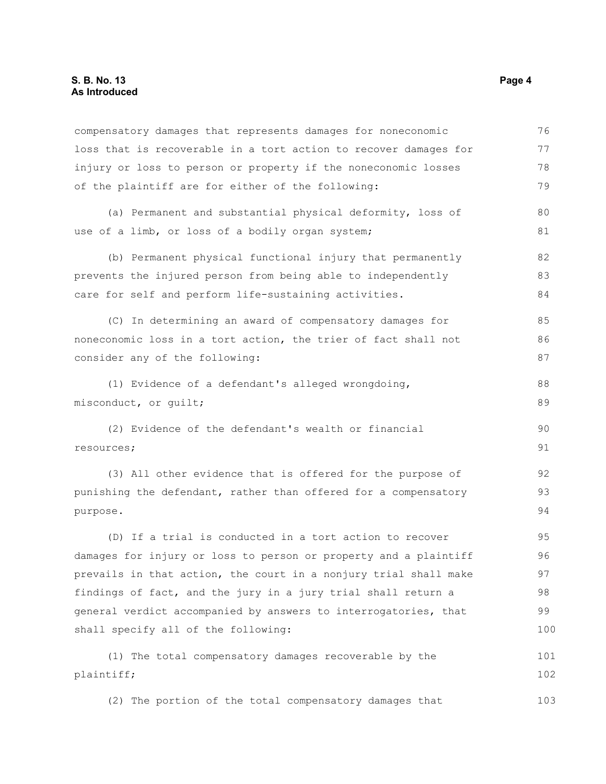| compensatory damages that represents damages for noneconomic     | 76  |
|------------------------------------------------------------------|-----|
| loss that is recoverable in a tort action to recover damages for | 77  |
| injury or loss to person or property if the noneconomic losses   | 78  |
| of the plaintiff are for either of the following:                | 79  |
| (a) Permanent and substantial physical deformity, loss of        | 80  |
| use of a limb, or loss of a bodily organ system;                 | 81  |
| (b) Permanent physical functional injury that permanently        | 82  |
| prevents the injured person from being able to independently     | 83  |
| care for self and perform life-sustaining activities.            | 84  |
| (C) In determining an award of compensatory damages for          | 85  |
| noneconomic loss in a tort action, the trier of fact shall not   | 86  |
| consider any of the following:                                   | 87  |
| (1) Evidence of a defendant's alleged wrongdoing,                | 88  |
| misconduct, or quilt;                                            | 89  |
| (2) Evidence of the defendant's wealth or financial              | 90  |
| resources;                                                       | 91  |
| (3) All other evidence that is offered for the purpose of        | 92  |
| punishing the defendant, rather than offered for a compensatory  | 93  |
| purpose.                                                         | 94  |
| (D) If a trial is conducted in a tort action to recover          | 95  |
| damages for injury or loss to person or property and a plaintiff | 96  |
| prevails in that action, the court in a nonjury trial shall make | 97  |
| findings of fact, and the jury in a jury trial shall return a    | 98  |
| general verdict accompanied by answers to interrogatories, that  | 99  |
| shall specify all of the following:                              | 100 |
| (1) The total compensatory damages recoverable by the            | 101 |
| plaintiff;                                                       | 102 |
| (2) The portion of the total compensatory damages that           | 103 |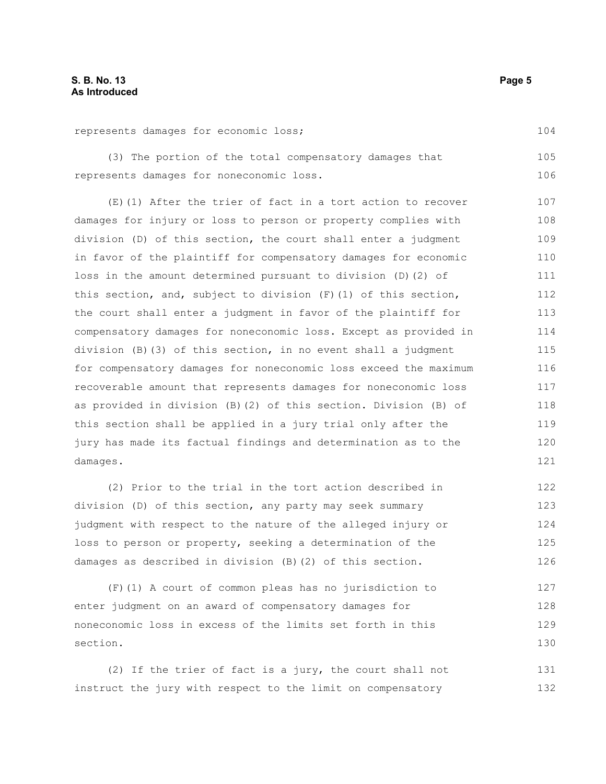104

#### represents damages for economic loss;

(3) The portion of the total compensatory damages that represents damages for noneconomic loss. 105 106

(E)(1) After the trier of fact in a tort action to recover damages for injury or loss to person or property complies with division (D) of this section, the court shall enter a judgment in favor of the plaintiff for compensatory damages for economic loss in the amount determined pursuant to division (D)(2) of this section, and, subject to division (F)(1) of this section, the court shall enter a judgment in favor of the plaintiff for compensatory damages for noneconomic loss. Except as provided in division (B)(3) of this section, in no event shall a judgment for compensatory damages for noneconomic loss exceed the maximum recoverable amount that represents damages for noneconomic loss as provided in division (B)(2) of this section. Division (B) of this section shall be applied in a jury trial only after the jury has made its factual findings and determination as to the damages. 107 108 109 110 111 112 113 114 115 116 117 118 119 120 121

(2) Prior to the trial in the tort action described in division (D) of this section, any party may seek summary judgment with respect to the nature of the alleged injury or loss to person or property, seeking a determination of the damages as described in division (B)(2) of this section. 122 123 124 125 126

(F)(1) A court of common pleas has no jurisdiction to enter judgment on an award of compensatory damages for noneconomic loss in excess of the limits set forth in this section. 127 128 129 130

(2) If the trier of fact is a jury, the court shall not instruct the jury with respect to the limit on compensatory 131 132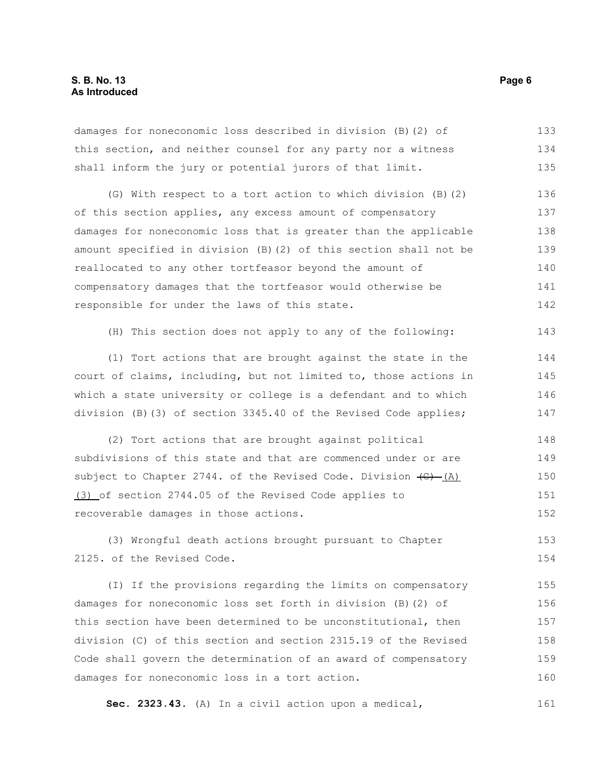damages for noneconomic loss described in division (B)(2) of this section, and neither counsel for any party nor a witness shall inform the jury or potential jurors of that limit. (G) With respect to a tort action to which division (B)(2) of this section applies, any excess amount of compensatory damages for noneconomic loss that is greater than the applicable amount specified in division (B)(2) of this section shall not be reallocated to any other tortfeasor beyond the amount of compensatory damages that the tortfeasor would otherwise be responsible for under the laws of this state. (H) This section does not apply to any of the following: (1) Tort actions that are brought against the state in the court of claims, including, but not limited to, those actions in which a state university or college is a defendant and to which division (B)(3) of section 3345.40 of the Revised Code applies; (2) Tort actions that are brought against political subdivisions of this state and that are commenced under or are subject to Chapter 2744. of the Revised Code. Division  $\left(\theta\right)$  (A) 133 134 135 136 137 138 139 140 141 142 143 144 145 146 147 148 149 150

(3) of section 2744.05 of the Revised Code applies to recoverable damages in those actions. 151 152

(3) Wrongful death actions brought pursuant to Chapter 2125. of the Revised Code. 153 154

(I) If the provisions regarding the limits on compensatory damages for noneconomic loss set forth in division (B)(2) of this section have been determined to be unconstitutional, then division (C) of this section and section 2315.19 of the Revised Code shall govern the determination of an award of compensatory damages for noneconomic loss in a tort action. 155 156 157 158 159 160

**Sec. 2323.43.** (A) In a civil action upon a medical, 161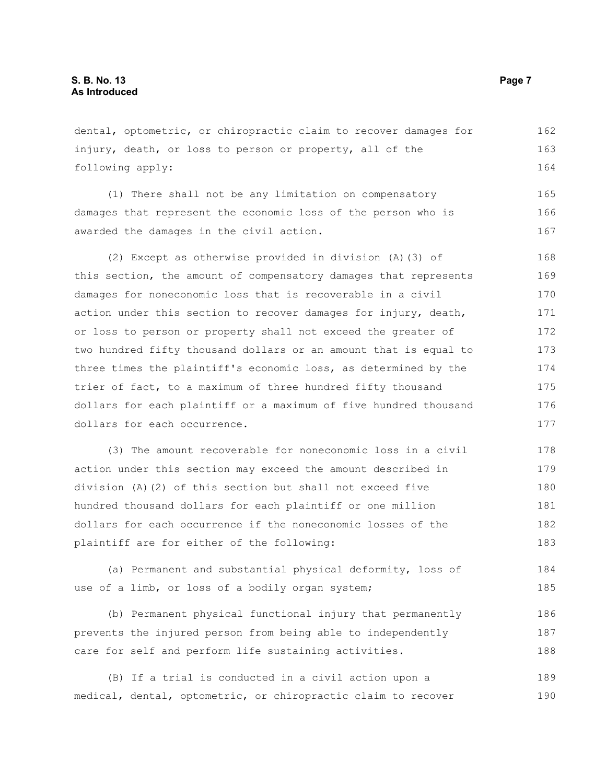dental, optometric, or chiropractic claim to recover damages for injury, death, or loss to person or property, all of the following apply: (1) There shall not be any limitation on compensatory damages that represent the economic loss of the person who is awarded the damages in the civil action. (2) Except as otherwise provided in division (A)(3) of this section, the amount of compensatory damages that represents damages for noneconomic loss that is recoverable in a civil action under this section to recover damages for injury, death, or loss to person or property shall not exceed the greater of two hundred fifty thousand dollars or an amount that is equal to three times the plaintiff's economic loss, as determined by the trier of fact, to a maximum of three hundred fifty thousand dollars for each plaintiff or a maximum of five hundred thousand dollars for each occurrence. (3) The amount recoverable for noneconomic loss in a civil action under this section may exceed the amount described in division (A)(2) of this section but shall not exceed five 162 163 164 165 166 167 168 169 170 171 172 173 174 175 176 177 178 179 180

hundred thousand dollars for each plaintiff or one million dollars for each occurrence if the noneconomic losses of the plaintiff are for either of the following: 181 182 183

(a) Permanent and substantial physical deformity, loss of use of a limb, or loss of a bodily organ system; 184 185

(b) Permanent physical functional injury that permanently prevents the injured person from being able to independently care for self and perform life sustaining activities. 186 187 188

(B) If a trial is conducted in a civil action upon a medical, dental, optometric, or chiropractic claim to recover 189 190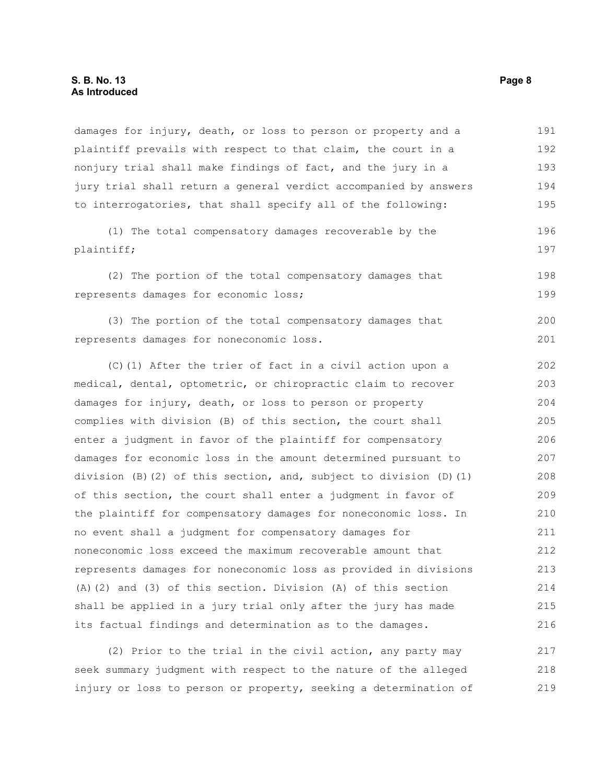damages for injury, death, or loss to person or property and a plaintiff prevails with respect to that claim, the court in a nonjury trial shall make findings of fact, and the jury in a jury trial shall return a general verdict accompanied by answers to interrogatories, that shall specify all of the following: 191 192 193 194 195

(1) The total compensatory damages recoverable by the plaintiff; 196 197

(2) The portion of the total compensatory damages that represents damages for economic loss;

(3) The portion of the total compensatory damages that represents damages for noneconomic loss. 200 201

(C)(1) After the trier of fact in a civil action upon a medical, dental, optometric, or chiropractic claim to recover damages for injury, death, or loss to person or property complies with division (B) of this section, the court shall enter a judgment in favor of the plaintiff for compensatory damages for economic loss in the amount determined pursuant to division (B)(2) of this section, and, subject to division (D)(1) of this section, the court shall enter a judgment in favor of the plaintiff for compensatory damages for noneconomic loss. In no event shall a judgment for compensatory damages for noneconomic loss exceed the maximum recoverable amount that represents damages for noneconomic loss as provided in divisions (A)(2) and (3) of this section. Division (A) of this section shall be applied in a jury trial only after the jury has made its factual findings and determination as to the damages. 202 203 204 205 206 207 208 209 210 211 212 213 214 215 216

(2) Prior to the trial in the civil action, any party may seek summary judgment with respect to the nature of the alleged injury or loss to person or property, seeking a determination of 217 218 219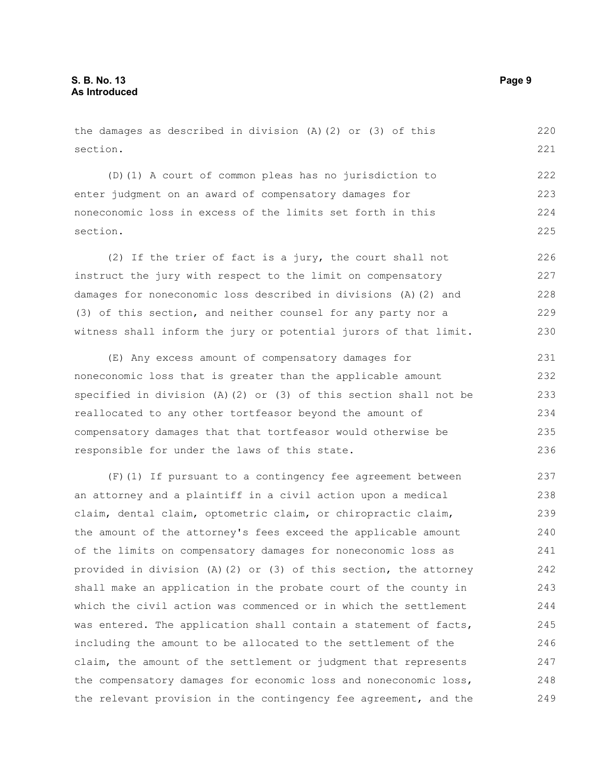the damages as described in division (A)(2) or (3) of this section.

(D)(1) A court of common pleas has no jurisdiction to enter judgment on an award of compensatory damages for noneconomic loss in excess of the limits set forth in this section. 222 223 224 225

(2) If the trier of fact is a jury, the court shall not instruct the jury with respect to the limit on compensatory damages for noneconomic loss described in divisions (A)(2) and (3) of this section, and neither counsel for any party nor a witness shall inform the jury or potential jurors of that limit. 226 227 228 229 230

(E) Any excess amount of compensatory damages for noneconomic loss that is greater than the applicable amount specified in division (A)(2) or (3) of this section shall not be reallocated to any other tortfeasor beyond the amount of compensatory damages that that tortfeasor would otherwise be responsible for under the laws of this state. 231 232 233 234 235 236

(F)(1) If pursuant to a contingency fee agreement between an attorney and a plaintiff in a civil action upon a medical claim, dental claim, optometric claim, or chiropractic claim, the amount of the attorney's fees exceed the applicable amount of the limits on compensatory damages for noneconomic loss as provided in division (A)(2) or (3) of this section, the attorney shall make an application in the probate court of the county in which the civil action was commenced or in which the settlement was entered. The application shall contain a statement of facts, including the amount to be allocated to the settlement of the claim, the amount of the settlement or judgment that represents the compensatory damages for economic loss and noneconomic loss, the relevant provision in the contingency fee agreement, and the 237 238 239 240 241 242 243 244 245 246 247 248 249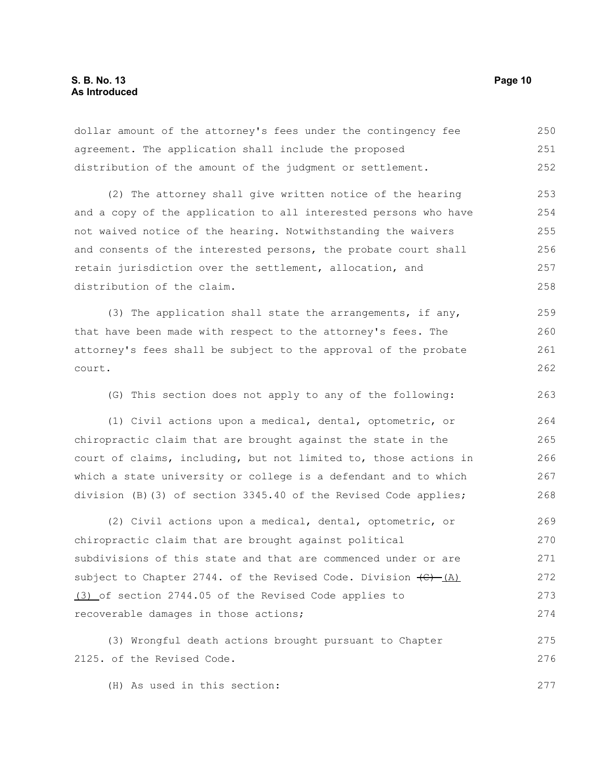dollar amount of the attorney's fees under the contingency fee agreement. The application shall include the proposed distribution of the amount of the judgment or settlement. 250 251 252

(2) The attorney shall give written notice of the hearing and a copy of the application to all interested persons who have not waived notice of the hearing. Notwithstanding the waivers and consents of the interested persons, the probate court shall retain jurisdiction over the settlement, allocation, and distribution of the claim. 253 254 255 256 257 258

(3) The application shall state the arrangements, if any, that have been made with respect to the attorney's fees. The attorney's fees shall be subject to the approval of the probate court. 259 260 261 262

(G) This section does not apply to any of the following: 263

(1) Civil actions upon a medical, dental, optometric, or chiropractic claim that are brought against the state in the court of claims, including, but not limited to, those actions in which a state university or college is a defendant and to which division (B)(3) of section 3345.40 of the Revised Code applies; 264 265 266 267 268

(2) Civil actions upon a medical, dental, optometric, or chiropractic claim that are brought against political subdivisions of this state and that are commenced under or are subject to Chapter 2744. of the Revised Code. Division  $\left(\theta\right)$  (A) (3) of section 2744.05 of the Revised Code applies to recoverable damages in those actions; 269 270 271 272 273 274

(3) Wrongful death actions brought pursuant to Chapter 2125. of the Revised Code. 275 276

(H) As used in this section: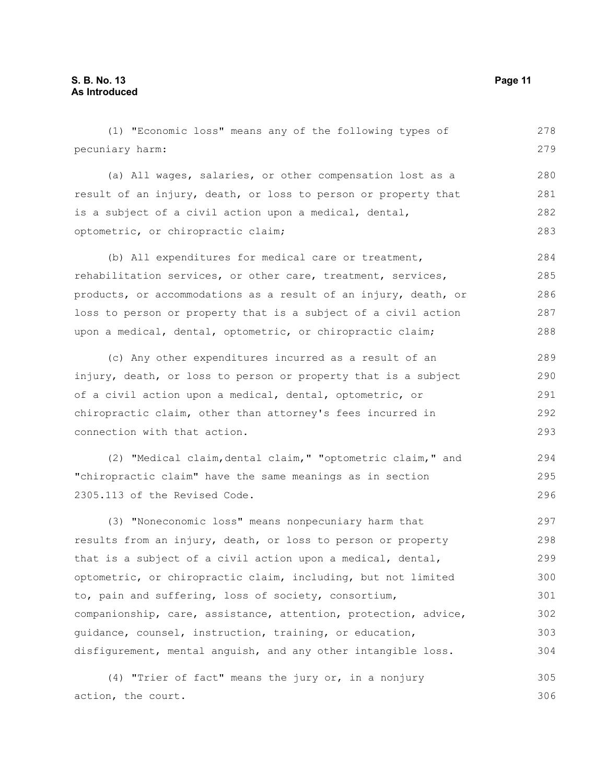(1) "Economic loss" means any of the following types of pecuniary harm: (a) All wages, salaries, or other compensation lost as a result of an injury, death, or loss to person or property that is a subject of a civil action upon a medical, dental, optometric, or chiropractic claim; (b) All expenditures for medical care or treatment, rehabilitation services, or other care, treatment, services, products, or accommodations as a result of an injury, death, or loss to person or property that is a subject of a civil action upon a medical, dental, optometric, or chiropractic claim; (c) Any other expenditures incurred as a result of an injury, death, or loss to person or property that is a subject of a civil action upon a medical, dental, optometric, or chiropractic claim, other than attorney's fees incurred in connection with that action. (2) "Medical claim,dental claim," "optometric claim," and "chiropractic claim" have the same meanings as in section 2305.113 of the Revised Code. (3) "Noneconomic loss" means nonpecuniary harm that results from an injury, death, or loss to person or property that is a subject of a civil action upon a medical, dental, optometric, or chiropractic claim, including, but not limited to, pain and suffering, loss of society, consortium, companionship, care, assistance, attention, protection, advice, guidance, counsel, instruction, training, or education, disfigurement, mental anguish, and any other intangible loss. (4) "Trier of fact" means the jury or, in a nonjury 278 279 280 281 282 283 284 285 286 287 288 289 290 291 292 293 294 295 296 297 298 299 300 301 302 303 304 305

action, the court.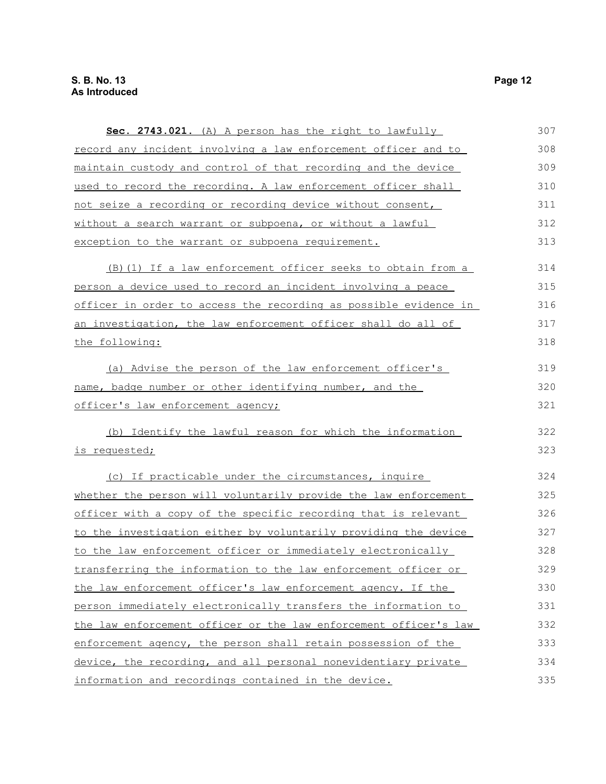| Sec. 2743.021. (A) A person has the right to lawfully            | 307 |
|------------------------------------------------------------------|-----|
| record any incident involving a law enforcement officer and to   | 308 |
| maintain custody and control of that recording and the device    | 309 |
| used to record the recording. A law enforcement officer shall    | 310 |
| not seize a recording or recording device without consent,       | 311 |
| without a search warrant or subpoena, or without a lawful        | 312 |
| exception to the warrant or subpoena requirement.                | 313 |
| (B) (1) If a law enforcement officer seeks to obtain from a      | 314 |
| person a device used to record an incident involving a peace     | 315 |
| officer in order to access the recording as possible evidence in | 316 |
| an investigation, the law enforcement officer shall do all of    | 317 |
| the following:                                                   | 318 |
| (a) Advise the person of the law enforcement officer's           | 319 |
| name, badge number or other identifying number, and the          | 320 |
| officer's law enforcement agency;                                | 321 |
| (b) Identify the lawful reason for which the information         | 322 |
| is requested;                                                    | 323 |
| (c) If practicable under the circumstances, inquire              | 324 |
| whether the person will voluntarily provide the law enforcement  | 325 |
| officer with a copy of the specific recording that is relevant   | 326 |
| to the investigation either by voluntarily providing the device  | 327 |
| to the law enforcement officer or immediately electronically     | 328 |
| transferring the information to the law enforcement officer or   | 329 |
| the law enforcement officer's law enforcement agency. If the     | 330 |
| person immediately electronically transfers the information to   | 331 |
| the law enforcement officer or the law enforcement officer's law | 332 |
| enforcement agency, the person shall retain possession of the    | 333 |
| device, the recording, and all personal nonevidentiary private   | 334 |
| information and recordings contained in the device.              | 335 |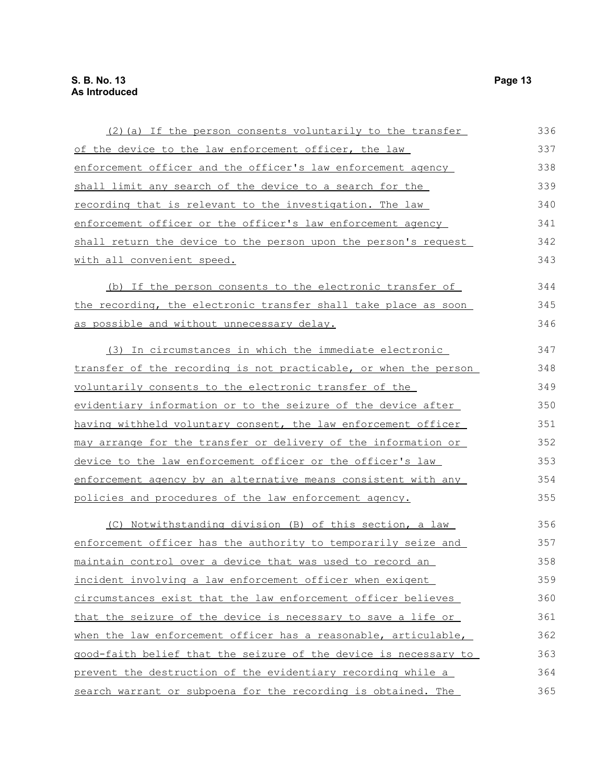| (2) (a) If the person consents voluntarily to the transfer       | 336 |
|------------------------------------------------------------------|-----|
| of the device to the law enforcement officer, the law            | 337 |
| enforcement officer and the officer's law enforcement agency     | 338 |
| shall limit any search of the device to a search for the         | 339 |
| <u>recording that is relevant to the investigation. The law</u>  | 340 |
| enforcement officer or the officer's law enforcement agency      | 341 |
| shall return the device to the person upon the person's request  | 342 |
| with all convenient speed.                                       | 343 |
| (b) If the person consents to the electronic transfer of         | 344 |
| the recording, the electronic transfer shall take place as soon  | 345 |
| as possible and without unnecessary delay.                       | 346 |
| (3) In circumstances in which the immediate electronic           | 347 |
| transfer of the recording is not practicable, or when the person | 348 |
| voluntarily consents to the electronic transfer of the           | 349 |
| evidentiary information or to the seizure of the device after    | 350 |
| having withheld voluntary consent, the law enforcement officer   | 351 |
| may arrange for the transfer or delivery of the information or   | 352 |
| device to the law enforcement officer or the officer's law       | 353 |
| enforcement agency by an alternative means consistent with any   | 354 |
| policies and procedures of the law enforcement agency.           | 355 |
| (C) Notwithstanding division (B) of this section, a law          | 356 |
| enforcement officer has the authority to temporarily seize and   | 357 |
| maintain control over a device that was used to record an        | 358 |
| incident involving a law enforcement officer when exigent        | 359 |
| circumstances exist that the law enforcement officer believes    | 360 |
| that the seizure of the device is necessary to save a life or    | 361 |
| when the law enforcement officer has a reasonable, articulable,  | 362 |
| good-faith belief that the seizure of the device is necessary to | 363 |
| prevent the destruction of the evidentiary recording while a     | 364 |
| search warrant or subpoena for the recording is obtained. The    | 365 |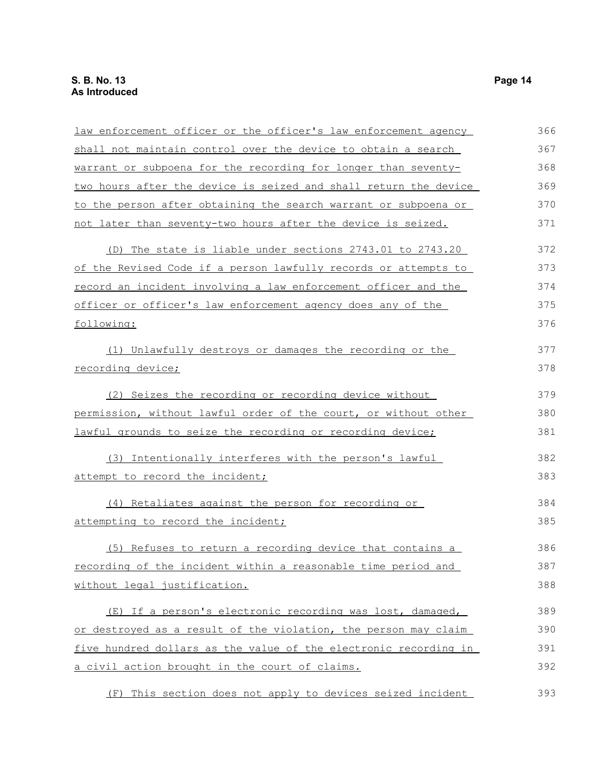| law enforcement officer or the officer's law enforcement agency  | 366 |
|------------------------------------------------------------------|-----|
| shall not maintain control over the device to obtain a search    | 367 |
| warrant or subpoena for the recording for longer than seventy-   | 368 |
| two hours after the device is seized and shall return the device | 369 |
| to the person after obtaining the search warrant or subpoena or  | 370 |
| not later than seventy-two hours after the device is seized.     | 371 |
| (D) The state is liable under sections 2743.01 to 2743.20        | 372 |
| of the Revised Code if a person lawfully records or attempts to  | 373 |
| record an incident involving a law enforcement officer and the   | 374 |
| officer or officer's law enforcement agency does any of the      | 375 |
| following:                                                       | 376 |
| (1) Unlawfully destroys or damages the recording or the          | 377 |
| recording device;                                                | 378 |
| (2) Seizes the recording or recording device without             | 379 |
| permission, without lawful order of the court, or without other  | 380 |
| lawful grounds to seize the recording or recording device;       | 381 |
| (3) Intentionally interferes with the person's lawful            | 382 |
| attempt to record the incident;                                  | 383 |
| (4) Retaliates against the person for recording or               | 384 |
| attempting to record the incident;                               | 385 |
| (5) Refuses to return a recording device that contains a         | 386 |
| recording of the incident within a reasonable time period and    | 387 |
| without legal justification.                                     | 388 |
| (E) If a person's electronic recording was lost, damaged,        | 389 |
| or destroyed as a result of the violation, the person may claim  | 390 |
| five hundred dollars as the value of the electronic recording in | 391 |
| a civil action brought in the court of claims.                   | 392 |
| (F) This section does not apply to devices seized incident       | 393 |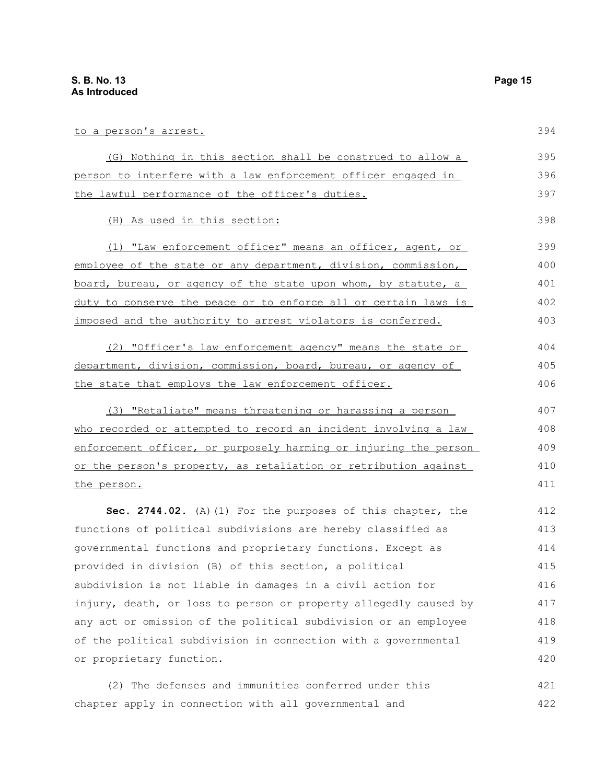| to a person's arrest.                                            | 394 |
|------------------------------------------------------------------|-----|
| (G) Nothing in this section shall be construed to allow a        | 395 |
| person to interfere with a law enforcement officer engaged in    | 396 |
| the lawful performance of the officer's duties.                  | 397 |
| (H) As used in this section:                                     | 398 |
| (1) "Law enforcement officer" means an officer, agent, or        | 399 |
| employee of the state or any department, division, commission,   | 400 |
| board, bureau, or agency of the state upon whom, by statute, a   | 401 |
| duty to conserve the peace or to enforce all or certain laws is  | 402 |
| imposed and the authority to arrest violators is conferred.      | 403 |
| (2) "Officer's law enforcement agency" means the state or        | 404 |
| department, division, commission, board, bureau, or agency of    | 405 |
| the state that employs the law enforcement officer.              | 406 |
| (3) "Retaliate" means threatening or harassing a person          | 407 |
| who recorded or attempted to record an incident involving a law  | 408 |
| enforcement officer, or purposely harming or injuring the person | 409 |
| or the person's property, as retaliation or retribution against  | 410 |
| the person.                                                      | 411 |
| Sec. 2744.02. (A) (1) For the purposes of this chapter, the      | 412 |
| functions of political subdivisions are hereby classified as     | 413 |
| governmental functions and proprietary functions. Except as      | 414 |
| provided in division (B) of this section, a political            | 415 |
| subdivision is not liable in damages in a civil action for       | 416 |
| injury, death, or loss to person or property allegedly caused by | 417 |
| any act or omission of the political subdivision or an employee  | 418 |
| of the political subdivision in connection with a governmental   | 419 |
| or proprietary function.                                         | 420 |
| The defenses and immunities conferred under this<br>(2)          | 421 |

chapter apply in connection with all governmental and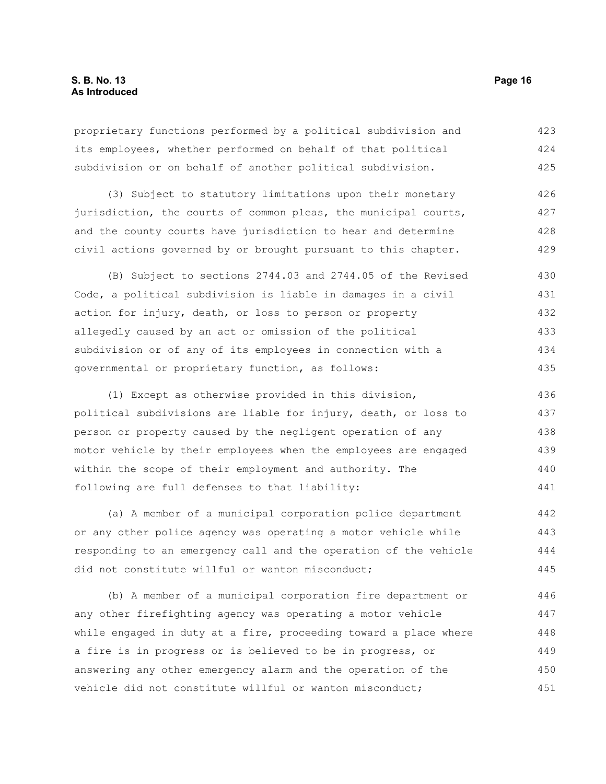proprietary functions performed by a political subdivision and its employees, whether performed on behalf of that political subdivision or on behalf of another political subdivision. 423 424 425

(3) Subject to statutory limitations upon their monetary jurisdiction, the courts of common pleas, the municipal courts, and the county courts have jurisdiction to hear and determine civil actions governed by or brought pursuant to this chapter. 426 427 428 429

(B) Subject to sections 2744.03 and 2744.05 of the Revised Code, a political subdivision is liable in damages in a civil action for injury, death, or loss to person or property allegedly caused by an act or omission of the political subdivision or of any of its employees in connection with a governmental or proprietary function, as follows: 430 431 432 433 434 435

(1) Except as otherwise provided in this division, political subdivisions are liable for injury, death, or loss to person or property caused by the negligent operation of any motor vehicle by their employees when the employees are engaged within the scope of their employment and authority. The following are full defenses to that liability: 436 437 438 439 440 441

(a) A member of a municipal corporation police department or any other police agency was operating a motor vehicle while responding to an emergency call and the operation of the vehicle did not constitute willful or wanton misconduct; 442 443 444 445

(b) A member of a municipal corporation fire department or any other firefighting agency was operating a motor vehicle while engaged in duty at a fire, proceeding toward a place where a fire is in progress or is believed to be in progress, or answering any other emergency alarm and the operation of the vehicle did not constitute willful or wanton misconduct; 446 447 448 449 450 451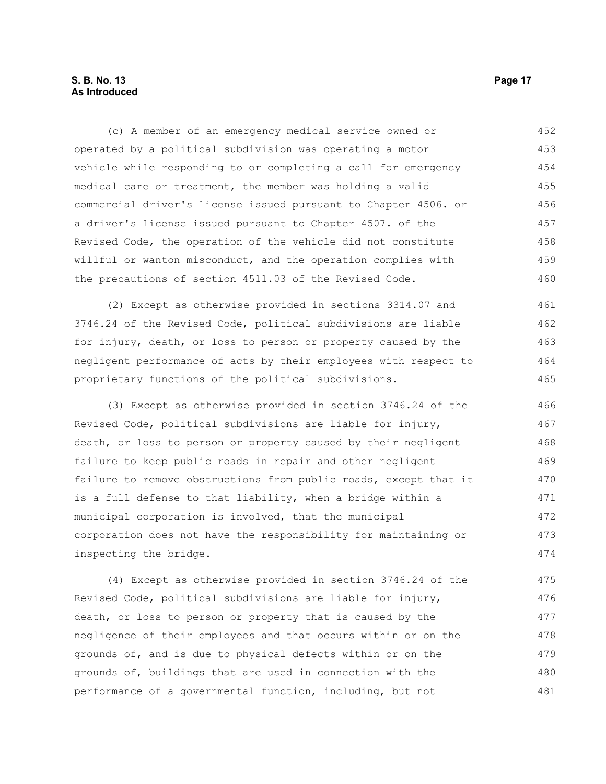#### **S. B. No. 13 Page 17 As Introduced**

(c) A member of an emergency medical service owned or operated by a political subdivision was operating a motor vehicle while responding to or completing a call for emergency medical care or treatment, the member was holding a valid commercial driver's license issued pursuant to Chapter 4506. or a driver's license issued pursuant to Chapter 4507. of the Revised Code, the operation of the vehicle did not constitute willful or wanton misconduct, and the operation complies with the precautions of section 4511.03 of the Revised Code. 452 453 454 455 456 457 458 459 460

(2) Except as otherwise provided in sections 3314.07 and 3746.24 of the Revised Code, political subdivisions are liable for injury, death, or loss to person or property caused by the negligent performance of acts by their employees with respect to proprietary functions of the political subdivisions. 461 462 463 464 465

(3) Except as otherwise provided in section 3746.24 of the Revised Code, political subdivisions are liable for injury, death, or loss to person or property caused by their negligent failure to keep public roads in repair and other negligent failure to remove obstructions from public roads, except that it is a full defense to that liability, when a bridge within a municipal corporation is involved, that the municipal corporation does not have the responsibility for maintaining or inspecting the bridge. 466 467 468 469 470 471 472 473 474

(4) Except as otherwise provided in section 3746.24 of the Revised Code, political subdivisions are liable for injury, death, or loss to person or property that is caused by the negligence of their employees and that occurs within or on the grounds of, and is due to physical defects within or on the grounds of, buildings that are used in connection with the performance of a governmental function, including, but not 475 476 477 478 479 480 481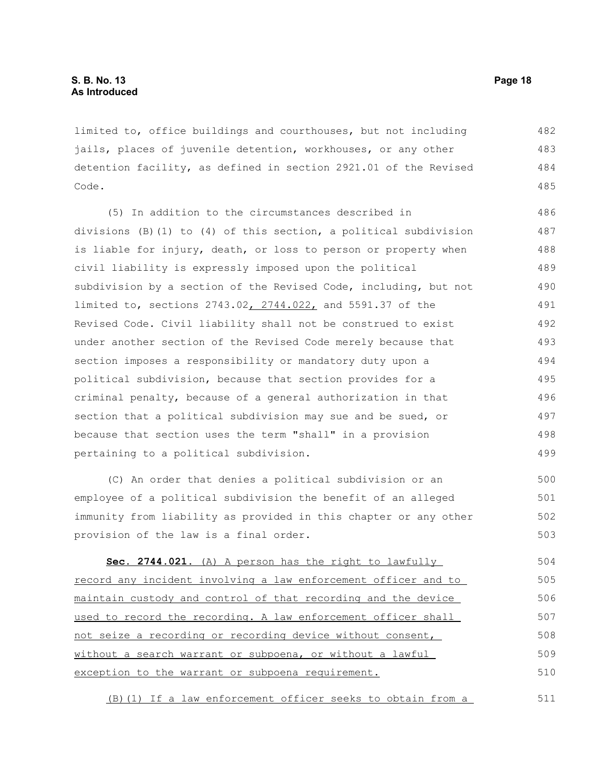limited to, office buildings and courthouses, but not including jails, places of juvenile detention, workhouses, or any other detention facility, as defined in section 2921.01 of the Revised Code. 482 483 484 485

(5) In addition to the circumstances described in divisions (B)(1) to (4) of this section, a political subdivision is liable for injury, death, or loss to person or property when civil liability is expressly imposed upon the political subdivision by a section of the Revised Code, including, but not limited to, sections 2743.02, 2744.022, and 5591.37 of the Revised Code. Civil liability shall not be construed to exist under another section of the Revised Code merely because that section imposes a responsibility or mandatory duty upon a political subdivision, because that section provides for a criminal penalty, because of a general authorization in that section that a political subdivision may sue and be sued, or because that section uses the term "shall" in a provision pertaining to a political subdivision. 486 487 488 489 490 491 492 493 494 495 496 497 498 499

(C) An order that denies a political subdivision or an employee of a political subdivision the benefit of an alleged immunity from liability as provided in this chapter or any other provision of the law is a final order. 500 501 502 503

 **Sec. 2744.021.** (A) A person has the right to lawfully record any incident involving a law enforcement officer and to maintain custody and control of that recording and the device used to record the recording. A law enforcement officer shall not seize a recording or recording device without consent, without a search warrant or subpoena, or without a lawful exception to the warrant or subpoena requirement. 504 505 506 507 508 509 510

(B)(1) If a law enforcement officer seeks to obtain from a 511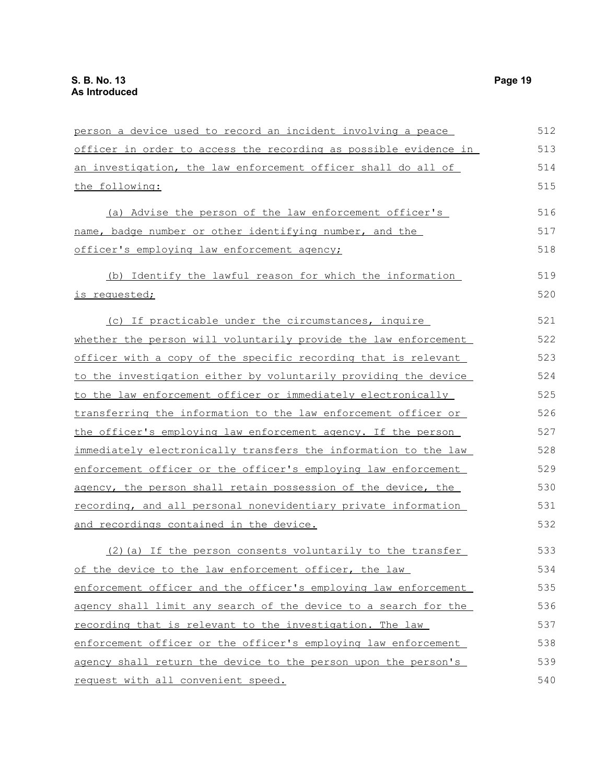| person a device used to record an incident involving a peace          | 512 |
|-----------------------------------------------------------------------|-----|
| officer in order to access the recording as possible evidence in      | 513 |
| an investigation, the law enforcement officer shall do all of         | 514 |
| the following:                                                        | 515 |
| (a) Advise the person of the law enforcement officer's                | 516 |
| name, badge number or other identifying number, and the               | 517 |
| officer's employing law enforcement agency;                           | 518 |
| (b) Identify the lawful reason for which the information              | 519 |
| is requested;                                                         | 520 |
| (c) If practicable under the circumstances, inquire                   | 521 |
| whether the person will voluntarily provide the law enforcement       | 522 |
| <u>officer with a copy of the specific recording that is relevant</u> | 523 |
| to the investigation either by voluntarily providing the device       | 524 |
| to the law enforcement officer or immediately electronically          | 525 |
| transferring the information to the law enforcement officer or        | 526 |
| the officer's employing law enforcement agency. If the person         | 527 |
| immediately electronically transfers the information to the law       | 528 |
| enforcement officer or the officer's employing law enforcement        | 529 |
| agency, the person shall retain possession of the device, the         | 530 |
| recording, and all personal nonevidentiary private information        | 531 |
| and recordings contained in the device.                               | 532 |
| (2) (a) If the person consents voluntarily to the transfer            | 533 |
| of the device to the law enforcement officer, the law                 | 534 |
| enforcement officer and the officer's employing law enforcement       | 535 |
| agency shall limit any search of the device to a search for the       | 536 |
| recording that is relevant to the investigation. The law              | 537 |
| enforcement officer or the officer's employing law enforcement        | 538 |
| agency shall return the device to the person upon the person's        | 539 |
| request with all convenient speed.                                    | 540 |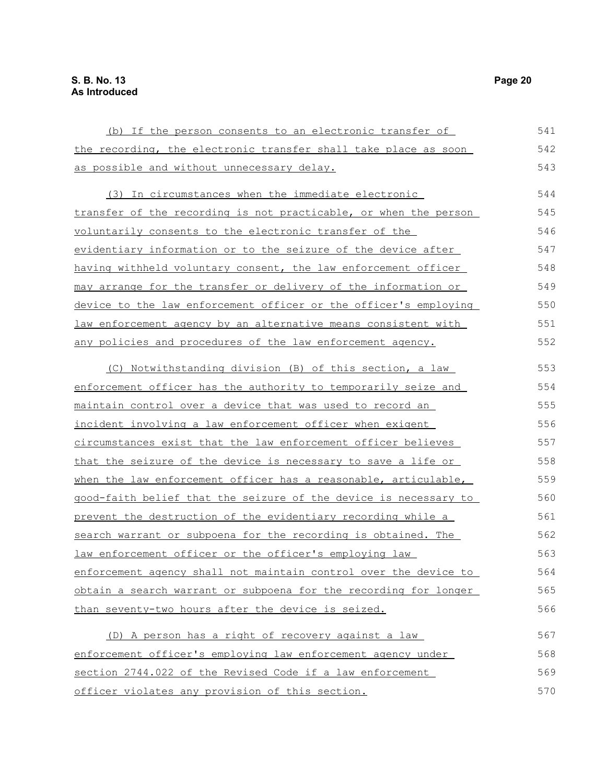| (b) If the person consents to an electronic transfer of          | 541 |
|------------------------------------------------------------------|-----|
| the recording, the electronic transfer shall take place as soon  | 542 |
| as possible and without unnecessary delay.                       | 543 |
| (3) In circumstances when the immediate electronic               | 544 |
| transfer of the recording is not practicable, or when the person | 545 |
| voluntarily consents to the electronic transfer of the           | 546 |
| evidentiary information or to the seizure of the device after    | 547 |
| having withheld voluntary consent, the law enforcement officer   | 548 |
| may arrange for the transfer or delivery of the information or   | 549 |
| device to the law enforcement officer or the officer's employing | 550 |
| law enforcement agency by an alternative means consistent with   | 551 |
| any policies and procedures of the law enforcement agency.       | 552 |
| (C) Notwithstanding division (B) of this section, a law          | 553 |
| enforcement officer has the authority to temporarily seize and   | 554 |
| maintain control over a device that was used to record an        | 555 |
| <u>incident involving a law enforcement officer when exigent</u> | 556 |
| circumstances exist that the law enforcement officer believes    | 557 |
| that the seizure of the device is necessary to save a life or    | 558 |
| when the law enforcement officer has a reasonable, articulable,  | 559 |
| good-faith belief that the seizure of the device is necessary to | 560 |
| prevent the destruction of the evidentiary recording while a     | 561 |
| search warrant or subpoena for the recording is obtained. The    | 562 |
| law enforcement officer or the officer's employing law           | 563 |
| enforcement agency shall not maintain control over the device to | 564 |
| obtain a search warrant or subpoena for the recording for longer | 565 |
| than seventy-two hours after the device is seized.               | 566 |
| (D) A person has a right of recovery against a law               | 567 |
| enforcement officer's employing law enforcement agency under     | 568 |
| section 2744.022 of the Revised Code if a law enforcement        | 569 |
| officer violates any provision of this section.                  | 570 |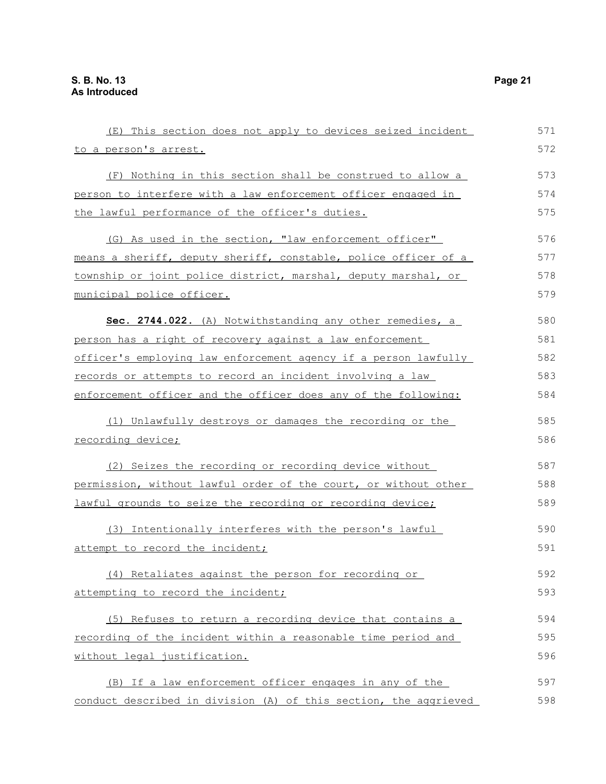| (E) This section does not apply to devices seized incident       | 571 |
|------------------------------------------------------------------|-----|
| to a person's arrest.                                            | 572 |
| (F) Nothing in this section shall be construed to allow a        | 573 |
| person to interfere with a law enforcement officer engaged in    | 574 |
| the lawful performance of the officer's duties.                  | 575 |
| (G) As used in the section, "law enforcement officer"            | 576 |
| means a sheriff, deputy sheriff, constable, police officer of a  | 577 |
| township or joint police district, marshal, deputy marshal, or   | 578 |
| municipal police officer.                                        | 579 |
| Sec. 2744.022. (A) Notwithstanding any other remedies, a         | 580 |
| person has a right of recovery against a law enforcement         | 581 |
| officer's employing law enforcement agency if a person lawfully  | 582 |
| records or attempts to record an incident involving a law        | 583 |
| enforcement officer and the officer does any of the following:   | 584 |
| (1) Unlawfully destroys or damages the recording or the          | 585 |
| recording device;                                                | 586 |
| (2) Seizes the recording or recording device without             | 587 |
| permission, without lawful order of the court, or without other  | 588 |
| lawful grounds to seize the recording or recording device;       | 589 |
| (3) Intentionally interferes with the person's lawful            | 590 |
| attempt to record the incident;                                  | 591 |
| (4) Retaliates against the person for recording or               | 592 |
| attempting to record the incident;                               | 593 |
| (5) Refuses to return a recording device that contains a         | 594 |
| recording of the incident within a reasonable time period and    | 595 |
| without legal justification.                                     | 596 |
| (B) If a law enforcement officer engages in any of the           | 597 |
| conduct described in division (A) of this section, the aggrieved | 598 |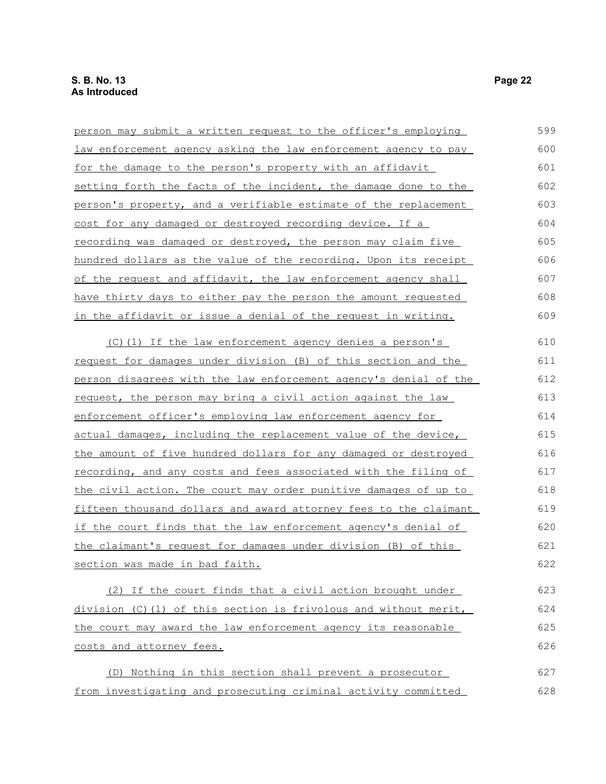| person may submit a written request to the officer's employing   | 599 |
|------------------------------------------------------------------|-----|
| law enforcement agency asking the law enforcement agency to pay  | 600 |
| for the damage to the person's property with an affidavit        | 601 |
| setting forth the facts of the incident, the damage done to the  | 602 |
| person's property, and a verifiable estimate of the replacement  | 603 |
| cost for any damaged or destroyed recording device. If a         | 604 |
| recording was damaged or destroyed, the person may claim five    | 605 |
| hundred dollars as the value of the recording. Upon its receipt  | 606 |
| of the request and affidavit, the law enforcement agency shall   | 607 |
| have thirty days to either pay the person the amount requested   | 608 |
| in the affidavit or issue a denial of the request in writing.    | 609 |
| (C)(1) If the law enforcement agency denies a person's           | 610 |
| request for damages under division (B) of this section and the   | 611 |
| person disagrees with the law enforcement agency's denial of the | 612 |
| request, the person may bring a civil action against the law     | 613 |
| enforcement officer's employing law enforcement agency for       | 614 |
| actual damages, including the replacement value of the device,   | 615 |
| the amount of five hundred dollars for any damaged or destroyed  | 616 |
| recording, and any costs and fees associated with the filing of  | 617 |
| the civil action. The court may order punitive damages of up to  | 618 |
| fifteen thousand dollars and award attorney fees to the claimant | 619 |
| if the court finds that the law enforcement agency's denial of   | 620 |
| the claimant's request for damages under division (B) of this    | 621 |
| section was made in bad faith.                                   | 622 |
| (2) If the court finds that a civil action brought under         | 623 |
| division (C)(1) of this section is frivolous and without merit,  | 624 |
| the court may award the law enforcement agency its reasonable    | 625 |
| costs and attorney fees.                                         | 626 |
| (D) Nothing in this section shall prevent a prosecutor           | 627 |
| from investigating and prosecuting criminal activity committed   | 628 |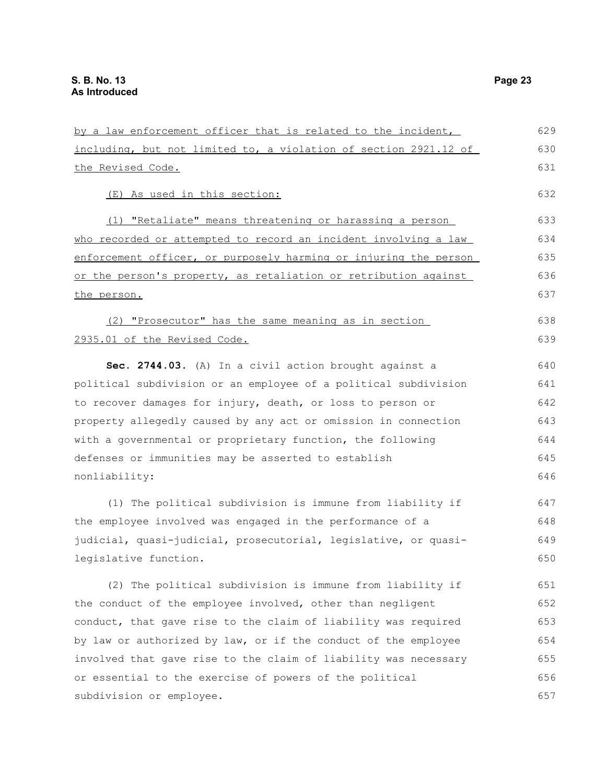including, but not limited to, a violation of section 2921.12 of the Revised Code. (E) As used in this section: (1) "Retaliate" means threatening or harassing a person who recorded or attempted to record an incident involving a law enforcement officer, or purposely harming or injuring the person or the person's property, as retaliation or retribution against the person. (2) "Prosecutor" has the same meaning as in section 2935.01 of the Revised Code. **Sec. 2744.03.** (A) In a civil action brought against a political subdivision or an employee of a political subdivision to recover damages for injury, death, or loss to person or property allegedly caused by any act or omission in connection with a governmental or proprietary function, the following defenses or immunities may be asserted to establish nonliability: (1) The political subdivision is immune from liability if the employee involved was engaged in the performance of a judicial, quasi-judicial, prosecutorial, legislative, or quasilegislative function. (2) The political subdivision is immune from liability if the conduct of the employee involved, other than negligent conduct, that gave rise to the claim of liability was required by law or authorized by law, or if the conduct of the employee involved that gave rise to the claim of liability was necessary or essential to the exercise of powers of the political subdivision or employee. 630 631 632 633 634 635 636 637 638 639 640 641 642 643 644 645 646 647 648 649 650 651 652 653 654 655 656 657

by a law enforcement officer that is related to the incident,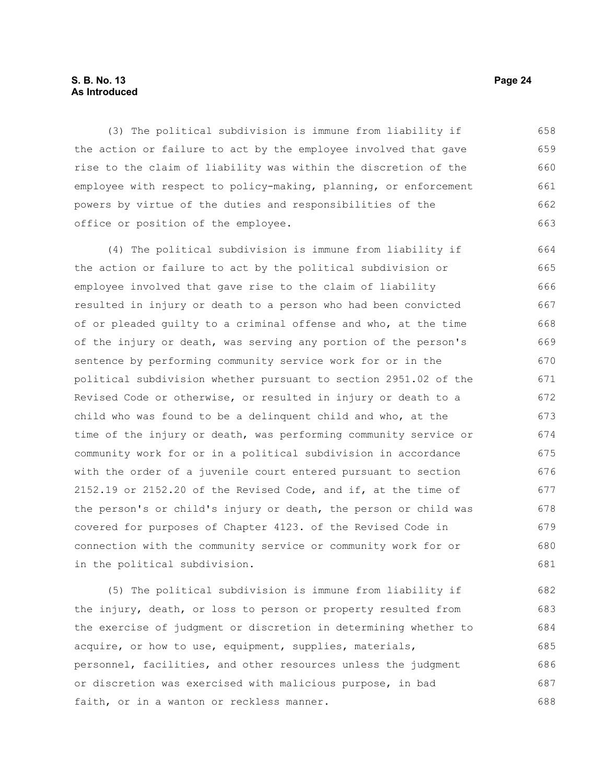#### **S. B. No. 13 Page 24 As Introduced**

(3) The political subdivision is immune from liability if the action or failure to act by the employee involved that gave rise to the claim of liability was within the discretion of the employee with respect to policy-making, planning, or enforcement powers by virtue of the duties and responsibilities of the office or position of the employee. 658 659 660 661 662 663

(4) The political subdivision is immune from liability if the action or failure to act by the political subdivision or employee involved that gave rise to the claim of liability resulted in injury or death to a person who had been convicted of or pleaded guilty to a criminal offense and who, at the time of the injury or death, was serving any portion of the person's sentence by performing community service work for or in the political subdivision whether pursuant to section 2951.02 of the Revised Code or otherwise, or resulted in injury or death to a child who was found to be a delinquent child and who, at the time of the injury or death, was performing community service or community work for or in a political subdivision in accordance with the order of a juvenile court entered pursuant to section 2152.19 or 2152.20 of the Revised Code, and if, at the time of the person's or child's injury or death, the person or child was covered for purposes of Chapter 4123. of the Revised Code in connection with the community service or community work for or in the political subdivision. 664 665 666 667 668 669 670 671 672 673 674 675 676 677 678 679 680 681

(5) The political subdivision is immune from liability if the injury, death, or loss to person or property resulted from the exercise of judgment or discretion in determining whether to acquire, or how to use, equipment, supplies, materials, personnel, facilities, and other resources unless the judgment or discretion was exercised with malicious purpose, in bad faith, or in a wanton or reckless manner. 682 683 684 685 686 687 688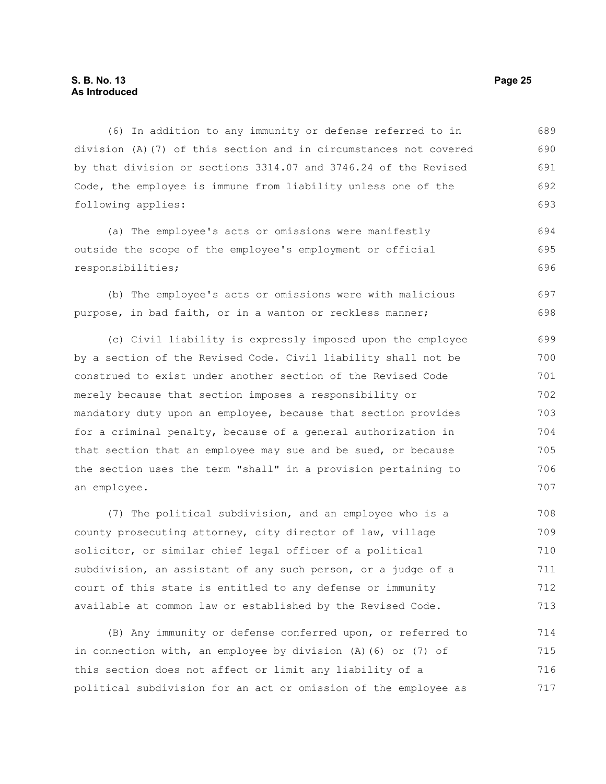(6) In addition to any immunity or defense referred to in division (A)(7) of this section and in circumstances not covered by that division or sections 3314.07 and 3746.24 of the Revised Code, the employee is immune from liability unless one of the following applies: 689 690 691 692 693

(a) The employee's acts or omissions were manifestly outside the scope of the employee's employment or official responsibilities; 694 695 696

(b) The employee's acts or omissions were with malicious purpose, in bad faith, or in a wanton or reckless manner; 697 698

(c) Civil liability is expressly imposed upon the employee by a section of the Revised Code. Civil liability shall not be construed to exist under another section of the Revised Code merely because that section imposes a responsibility or mandatory duty upon an employee, because that section provides for a criminal penalty, because of a general authorization in that section that an employee may sue and be sued, or because the section uses the term "shall" in a provision pertaining to an employee. 699 700 701 702 703 704 705 706 707

(7) The political subdivision, and an employee who is a county prosecuting attorney, city director of law, village solicitor, or similar chief legal officer of a political subdivision, an assistant of any such person, or a judge of a court of this state is entitled to any defense or immunity available at common law or established by the Revised Code. 708 709 710 711 712 713

(B) Any immunity or defense conferred upon, or referred to in connection with, an employee by division (A)(6) or (7) of this section does not affect or limit any liability of a political subdivision for an act or omission of the employee as 714 715 716 717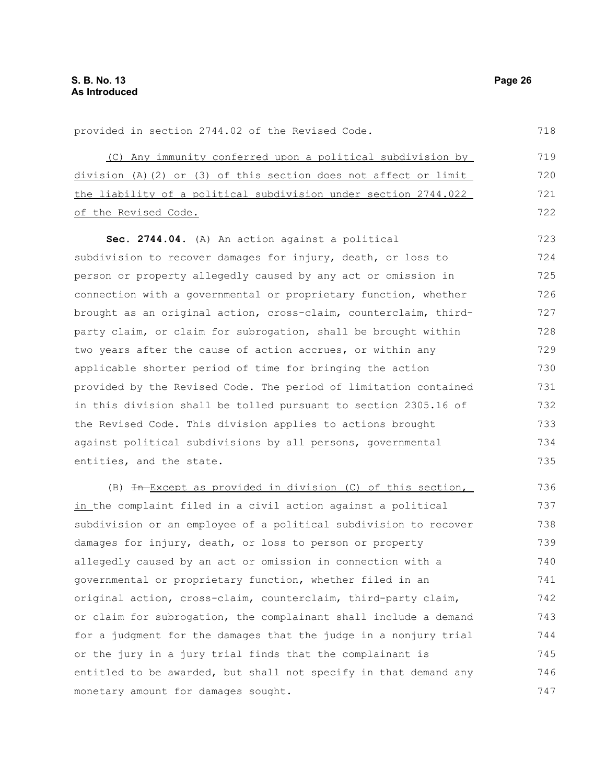provided in section 2744.02 of the Revised Code.

monetary amount for damages sought.

718

747

(C) Any immunity conferred upon a political subdivision by division (A)(2) or (3) of this section does not affect or limit the liability of a political subdivision under section 2744.022 of the Revised Code. **Sec. 2744.04.** (A) An action against a political subdivision to recover damages for injury, death, or loss to person or property allegedly caused by any act or omission in connection with a governmental or proprietary function, whether brought as an original action, cross-claim, counterclaim, thirdparty claim, or claim for subrogation, shall be brought within two years after the cause of action accrues, or within any applicable shorter period of time for bringing the action provided by the Revised Code. The period of limitation contained in this division shall be tolled pursuant to section 2305.16 of the Revised Code. This division applies to actions brought against political subdivisions by all persons, governmental entities, and the state. (B)  $\overline{\text{In}-\text{Exception}}$ , (B)  $\overline{\text{In}-\text{Exception}}$ in the complaint filed in a civil action against a political subdivision or an employee of a political subdivision to recover damages for injury, death, or loss to person or property allegedly caused by an act or omission in connection with a governmental or proprietary function, whether filed in an original action, cross-claim, counterclaim, third-party claim, or claim for subrogation, the complainant shall include a demand for a judgment for the damages that the judge in a nonjury trial or the jury in a jury trial finds that the complainant is entitled to be awarded, but shall not specify in that demand any 719 720 721 722 723 724 725 726 727 728 729 730 731 732 733 734 735 736 737 738 739 740 741 742 743 744 745 746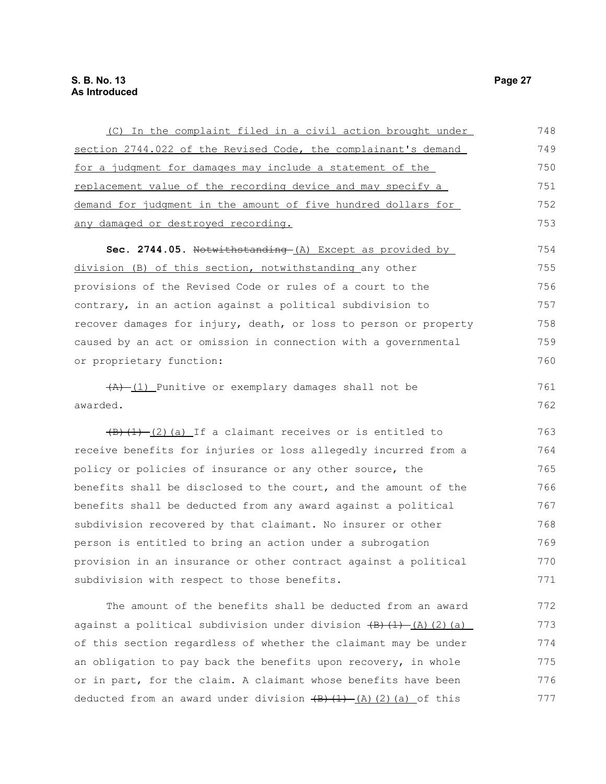| (C) In the complaint filed in a civil action brought under                                                              | 748 |
|-------------------------------------------------------------------------------------------------------------------------|-----|
| section 2744.022 of the Revised Code, the complainant's demand                                                          | 749 |
| for a judgment for damages may include a statement of the                                                               | 750 |
| replacement value of the recording device and may specify a                                                             | 751 |
| demand for judgment in the amount of five hundred dollars for                                                           | 752 |
| any damaged or destroyed recording.                                                                                     | 753 |
| Sec. 2744.05. Notwithstanding-(A) Except as provided by                                                                 | 754 |
| division (B) of this section, notwithstanding any other                                                                 | 755 |
| provisions of the Revised Code or rules of a court to the                                                               | 756 |
| contrary, in an action against a political subdivision to                                                               | 757 |
| recover damages for injury, death, or loss to person or property                                                        | 758 |
| caused by an act or omission in connection with a governmental                                                          | 759 |
| or proprietary function:                                                                                                | 760 |
| $\overline{(A)}$ (1) Punitive or exemplary damages shall not be                                                         | 761 |
| awarded.                                                                                                                | 762 |
| $\left(\frac{1}{2}\right)\left(\frac{1}{2}\right)\left(\frac{2}{2}\right)$ (a) If a claimant receives or is entitled to | 763 |
| receive benefits for injuries or loss allegedly incurred from a                                                         | 764 |
| policy or policies of insurance or any other source, the                                                                | 765 |
| benefits shall be disclosed to the court, and the amount of the                                                         | 766 |
| benefits shall be deducted from any award against a political                                                           | 767 |
| subdivision recovered by that claimant. No insurer or other                                                             | 768 |
| person is entitled to bring an action under a subrogation                                                               | 769 |
| provision in an insurance or other contract against a political                                                         | 770 |
| subdivision with respect to those benefits.                                                                             | 771 |
| The amount of the benefits shall be deducted from an award                                                              | 772 |

against a political subdivision under division  $\overline{(B)+(1)- (A)(2)(a)}$ of this section regardless of whether the claimant may be under an obligation to pay back the benefits upon recovery, in whole or in part, for the claim. A claimant whose benefits have been deducted from an award under division  $(B)$   $(1)$   $(A)$   $(2)$   $(a)$  of this 773 774 775 776 777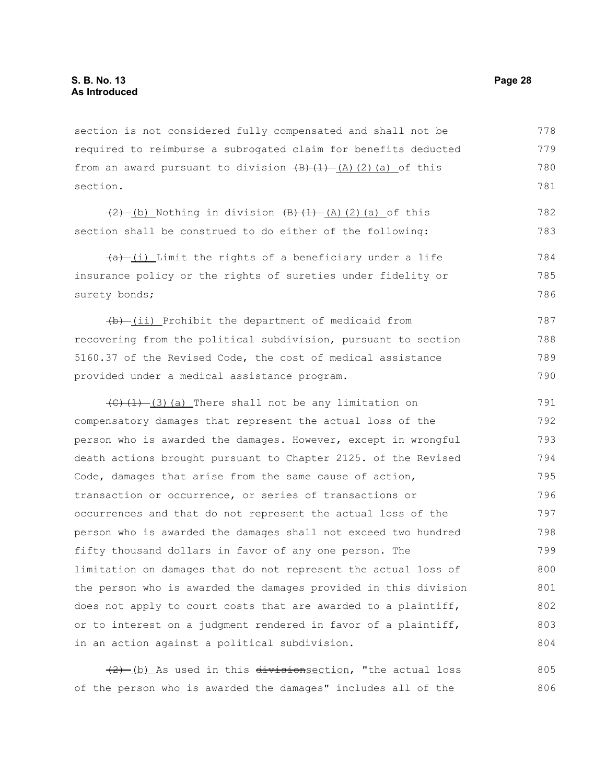section is not considered fully compensated and shall not be required to reimburse a subrogated claim for benefits deducted from an award pursuant to division  $\frac{1}{2}(A)(2)(a)$  of this section. 778 779 780 781

 $(2)$  (b) Nothing in division  $(B)$   $(1)$   $(A)$   $(2)$   $(a)$  of this section shall be construed to do either of the following: 782 783

 $(a)$  (i) Limit the rights of a beneficiary under a life insurance policy or the rights of sureties under fidelity or surety bonds; 784 785 786

 $(b)$  (ii) Prohibit the department of medicaid from recovering from the political subdivision, pursuant to section 5160.37 of the Revised Code, the cost of medical assistance provided under a medical assistance program. 787 788 789 790

 $(C)$   $(1)$   $(3)$  (a) There shall not be any limitation on compensatory damages that represent the actual loss of the person who is awarded the damages. However, except in wrongful death actions brought pursuant to Chapter 2125. of the Revised Code, damages that arise from the same cause of action, transaction or occurrence, or series of transactions or occurrences and that do not represent the actual loss of the person who is awarded the damages shall not exceed two hundred fifty thousand dollars in favor of any one person. The limitation on damages that do not represent the actual loss of the person who is awarded the damages provided in this division does not apply to court costs that are awarded to a plaintiff, or to interest on a judgment rendered in favor of a plaintiff, in an action against a political subdivision. 791 792 793 794 795 796 797 798 799 800 801 802 803 804

 $(2)$  (b) As used in this division section, "the actual loss of the person who is awarded the damages" includes all of the 805 806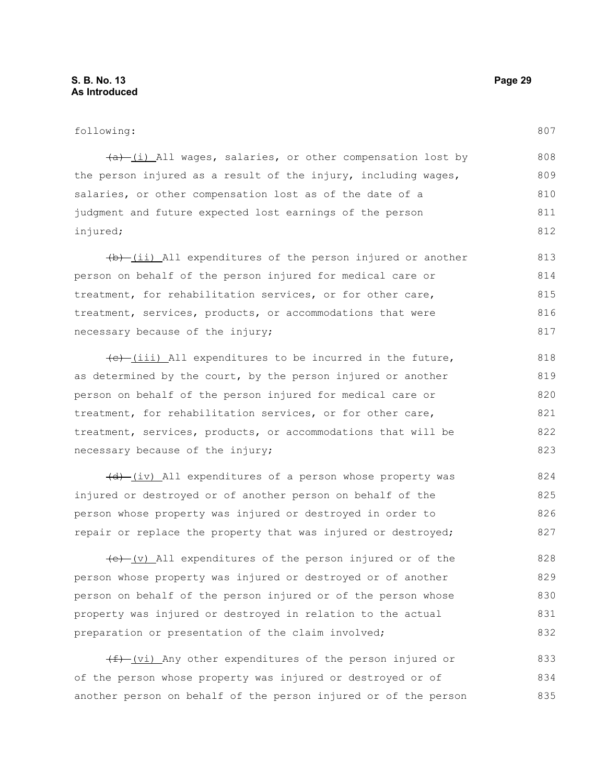#### following:

807

| $(a)$ (i) All wages, salaries, or other compensation lost by   | 808 |
|----------------------------------------------------------------|-----|
| the person injured as a result of the injury, including wages, | 809 |
| salaries, or other compensation lost as of the date of a       | 810 |
| judgment and future expected lost earnings of the person       | 811 |
| injured;                                                       | 812 |

 $(b)$  (ii) All expenditures of the person injured or another person on behalf of the person injured for medical care or treatment, for rehabilitation services, or for other care, treatment, services, products, or accommodations that were necessary because of the injury; 813 814 815 816 817

 $(e)$  (iii) All expenditures to be incurred in the future, as determined by the court, by the person injured or another person on behalf of the person injured for medical care or treatment, for rehabilitation services, or for other care, treatment, services, products, or accommodations that will be necessary because of the injury;

 $(d)$  (iv) All expenditures of a person whose property was injured or destroyed or of another person on behalf of the person whose property was injured or destroyed in order to repair or replace the property that was injured or destroyed; 824 825 826 827

 $(e)$  (v) All expenditures of the person injured or of the person whose property was injured or destroyed or of another person on behalf of the person injured or of the person whose property was injured or destroyed in relation to the actual preparation or presentation of the claim involved; 828 829 830 831 832

 $(f)$  (vi) Any other expenditures of the person injured or of the person whose property was injured or destroyed or of another person on behalf of the person injured or of the person 833 834 835